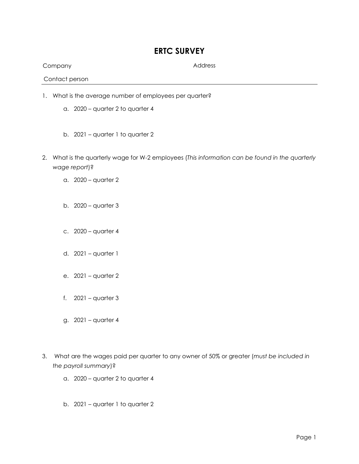## **ERTC SURVEY**

Company Address

Contact person

- 1. What is the average number of employees per quarter?
	- a. 2020 quarter 2 to quarter 4
	- b. 2021 quarter 1 to quarter 2
- 2. What is the quarterly wage for W-2 employees (*This information can be found in the quarterly wage report*)?
	- a. 2020 quarter 2
	- b. 2020 quarter 3
	- c. 2020 quarter 4
	- d. 2021 quarter 1
	- e. 2021 quarter 2
	- f.  $2021 -$  quarter 3
	- g. 2021 quarter 4
- 3. What are the wages paid per quarter to any owner of 50% or greater (*must be included in the payroll summary*)?
	- a. 2020 quarter 2 to quarter 4
	- b. 2021 quarter 1 to quarter 2